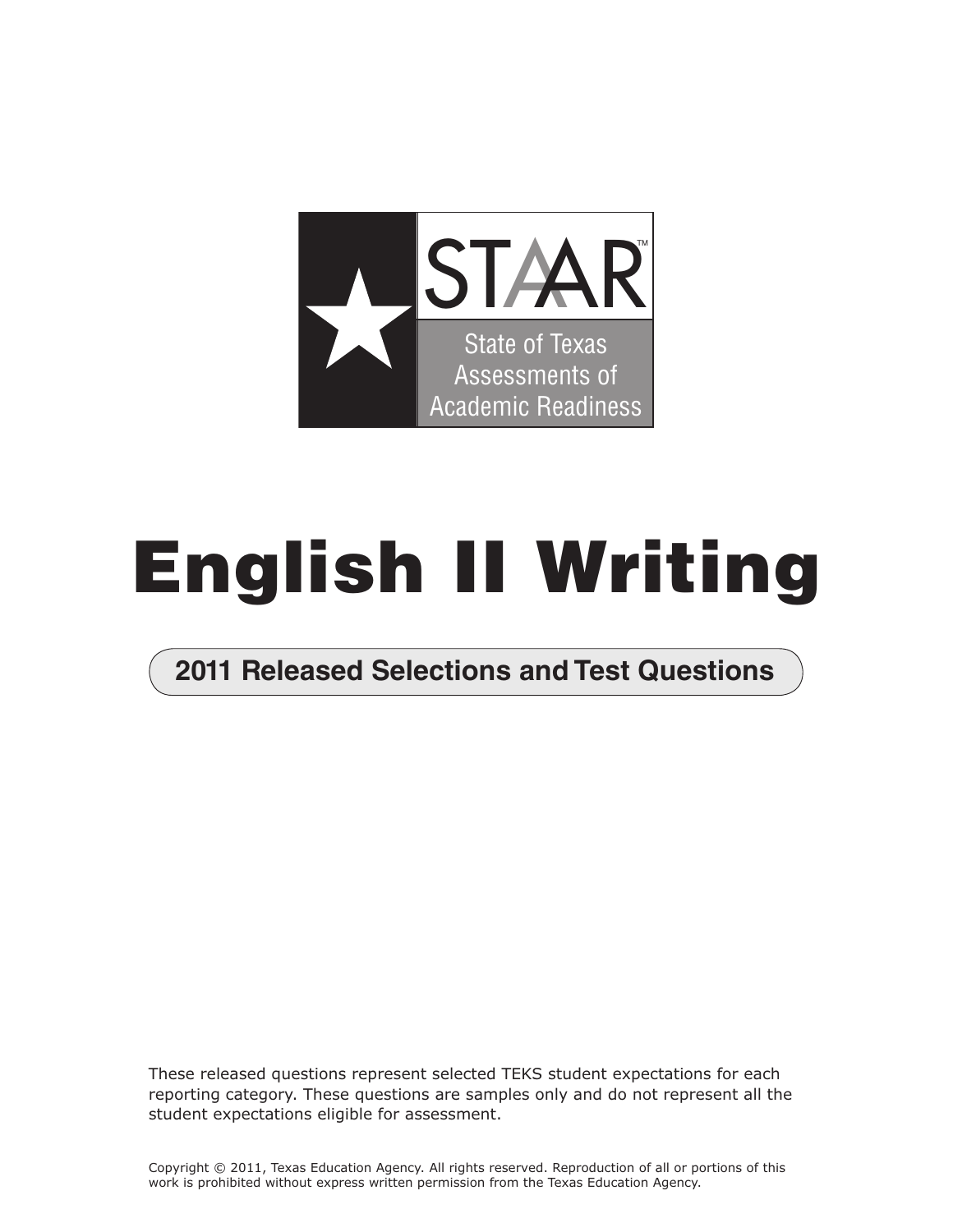

# **English II Writing**

## **2011 Released Selections and Test Questions**

These released questions represent selected TEKS student expectations for each reporting category. These questions are samples only and do not represent all the student expectations eligible for assessment.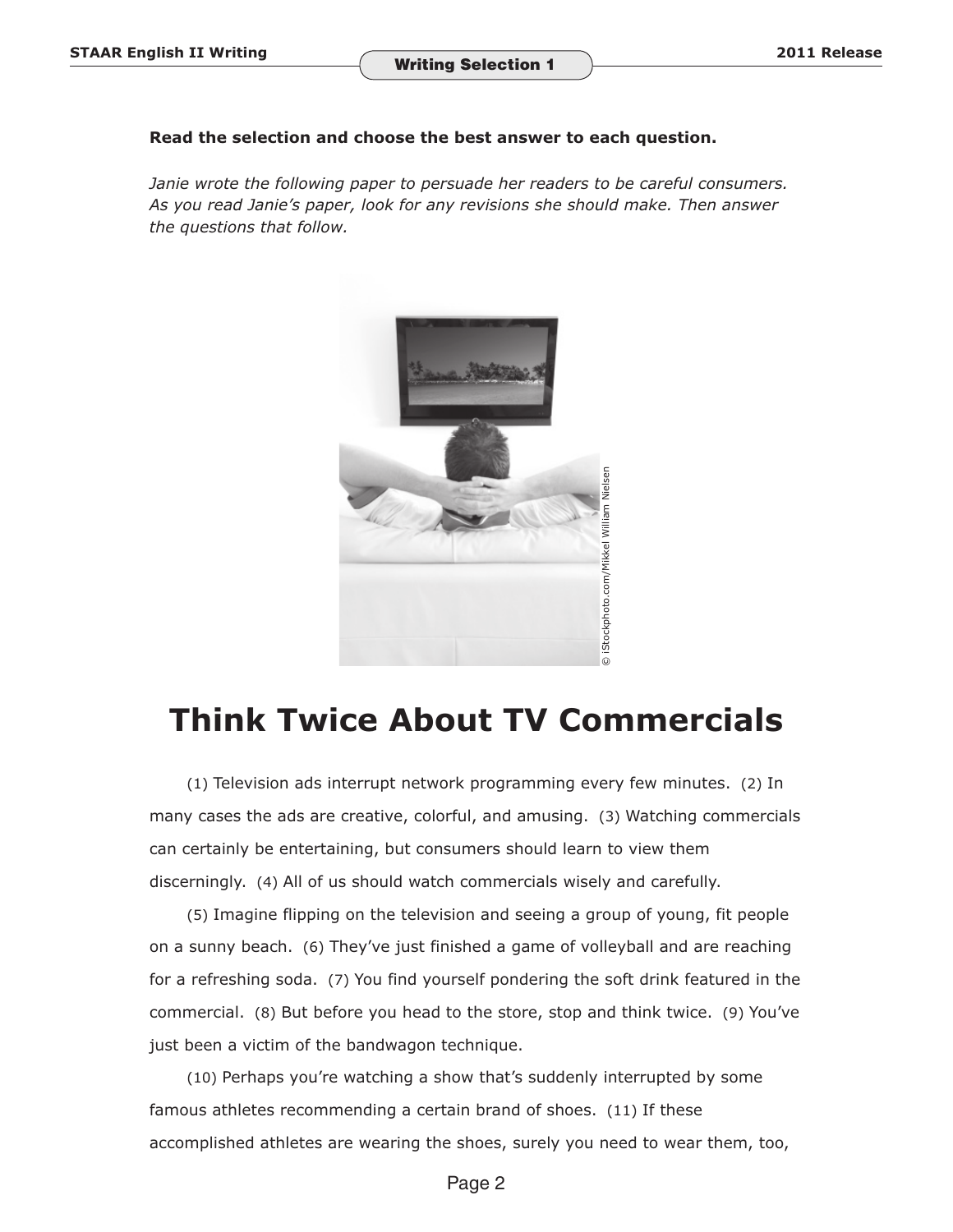### **Read the selection and choose the best answer to each question.**

*Janie wrote the following paper to persuade her readers to be careful consumers. As you read Janie's paper, look for any revisions she should make. Then answer the questions that follow.* 



# **Think Twice About TV Commercials**

(1) Television ads interrupt network programming every few minutes. (2) In many cases the ads are creative, colorful, and amusing. (3) Watching commercials can certainly be entertaining, but consumers should learn to view them discerningly. (4) All of us should watch commercials wisely and carefully.

(5) Imagine flipping on the television and seeing a group of young, fit people on a sunny beach. (6) They've just finished a game of volleyball and are reaching for a refreshing soda. (7) You find yourself pondering the soft drink featured in the commercial. (8) But before you head to the store, stop and think twice. (9) You've just been a victim of the bandwagon technique.

(10) Perhaps you're watching a show that's suddenly interrupted by some famous athletes recommending a certain brand of shoes. (11) If these accomplished athletes are wearing the shoes, surely you need to wear them, too,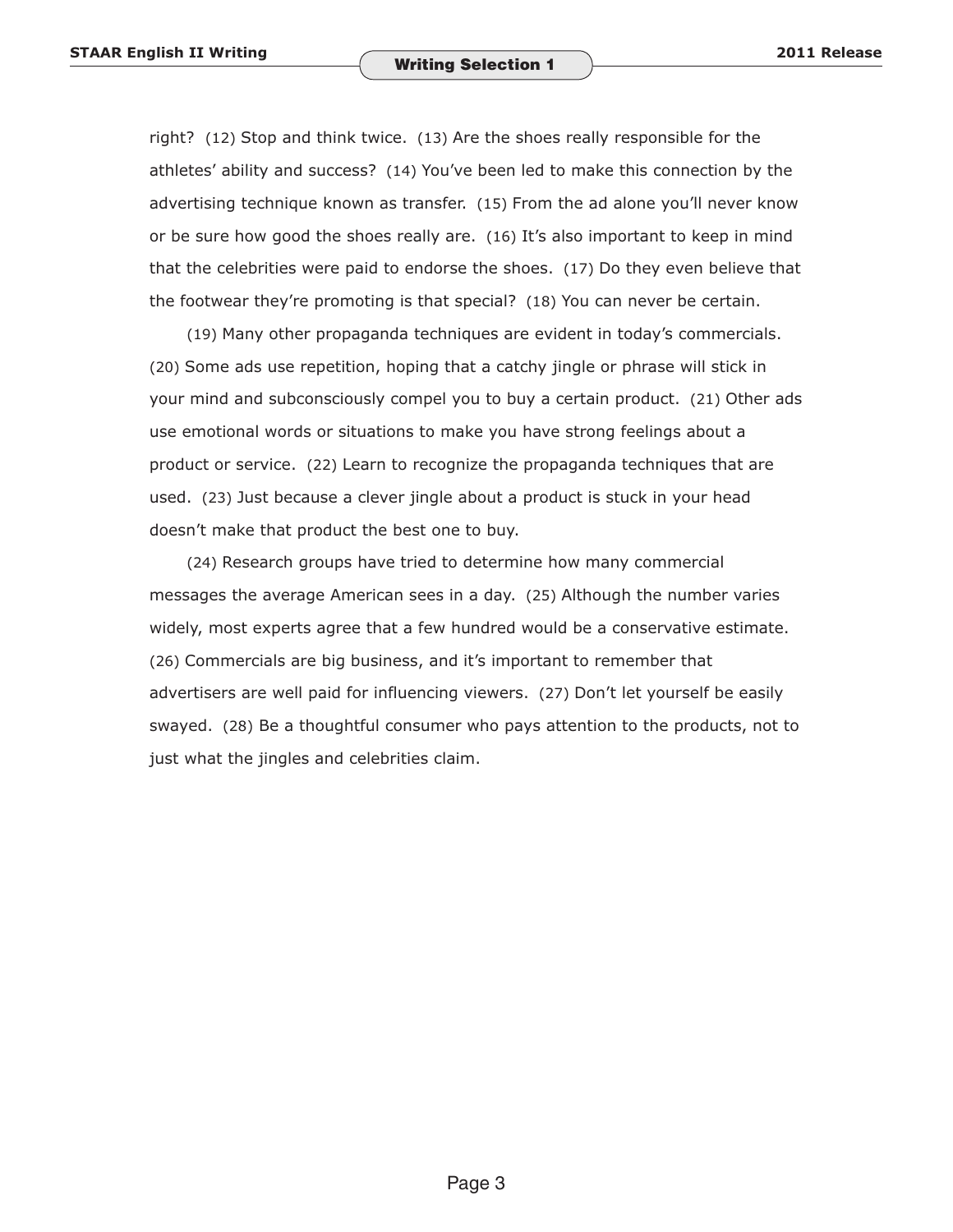right? (12) Stop and think twice. (13) Are the shoes really responsible for the athletes' ability and success? (14) You've been led to make this connection by the advertising technique known as transfer. (15) From the ad alone you'll never know or be sure how good the shoes really are. (16) It's also important to keep in mind that the celebrities were paid to endorse the shoes. (17) Do they even believe that the footwear they're promoting is that special? (18) You can never be certain.

(19) Many other propaganda techniques are evident in today's commercials. (20) Some ads use repetition, hoping that a catchy jingle or phrase will stick in your mind and subconsciously compel you to buy a certain product. (21) Other ads use emotional words or situations to make you have strong feelings about a product or service. (22) Learn to recognize the propaganda techniques that are used. (23) Just because a clever jingle about a product is stuck in your head doesn't make that product the best one to buy.

(24) Research groups have tried to determine how many commercial messages the average American sees in a day. (25) Although the number varies widely, most experts agree that a few hundred would be a conservative estimate. (26) Commercials are big business, and it's important to remember that advertisers are well paid for influencing viewers. (27) Don't let yourself be easily swayed. (28) Be a thoughtful consumer who pays attention to the products, not to just what the jingles and celebrities claim.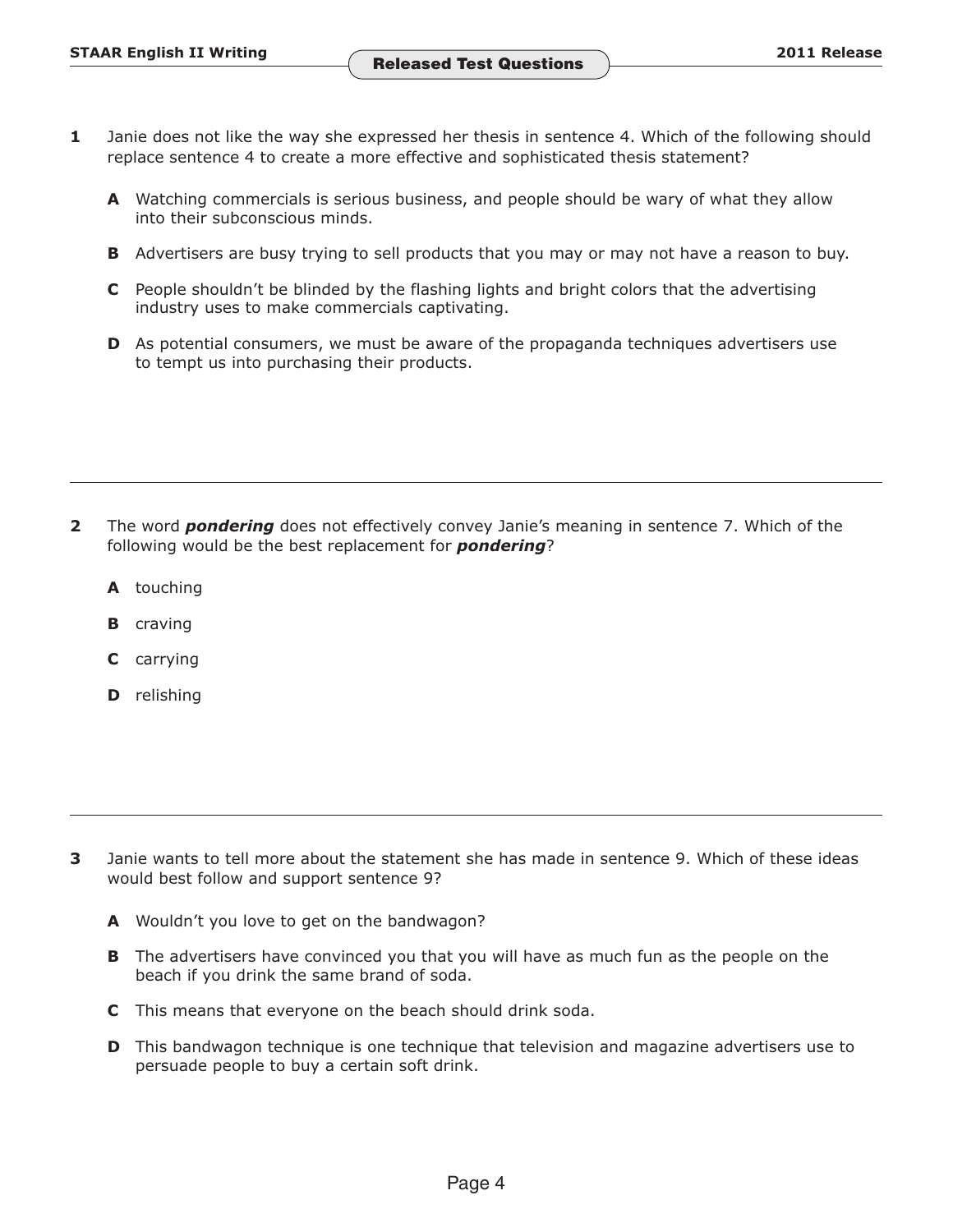- **1** Janie does not like the way she expressed her thesis in sentence 4. Which of the following should replace sentence 4 to create a more effective and sophisticated thesis statement?
	- **A** Watching commercials is serious business, and people should be wary of what they allow into their subconscious minds.
	- **B** Advertisers are busy trying to sell products that you may or may not have a reason to buy.
	- **C** People shouldn't be blinded by the flashing lights and bright colors that the advertising industry uses to make commercials captivating.
	- **D** As potential consumers, we must be aware of the propaganda techniques advertisers use to tempt us into purchasing their products.

- **2**  The word *pondering* does not effectively convey Janie's meaning in sentence 7. Which of the following would be the best replacement for *pondering*?
	- **A** touching
	- **B** craving
	- **C** carrying
	- **D** relishing

- **3** Janie wants to tell more about the statement she has made in sentence 9. Which of these ideas would best follow and support sentence 9?
	- **A** Wouldn't you love to get on the bandwagon?
	- **B** The advertisers have convinced you that you will have as much fun as the people on the beach if you drink the same brand of soda.
	- **C** This means that everyone on the beach should drink soda.
	- **D** This bandwagon technique is one technique that television and magazine advertisers use to persuade people to buy a certain soft drink.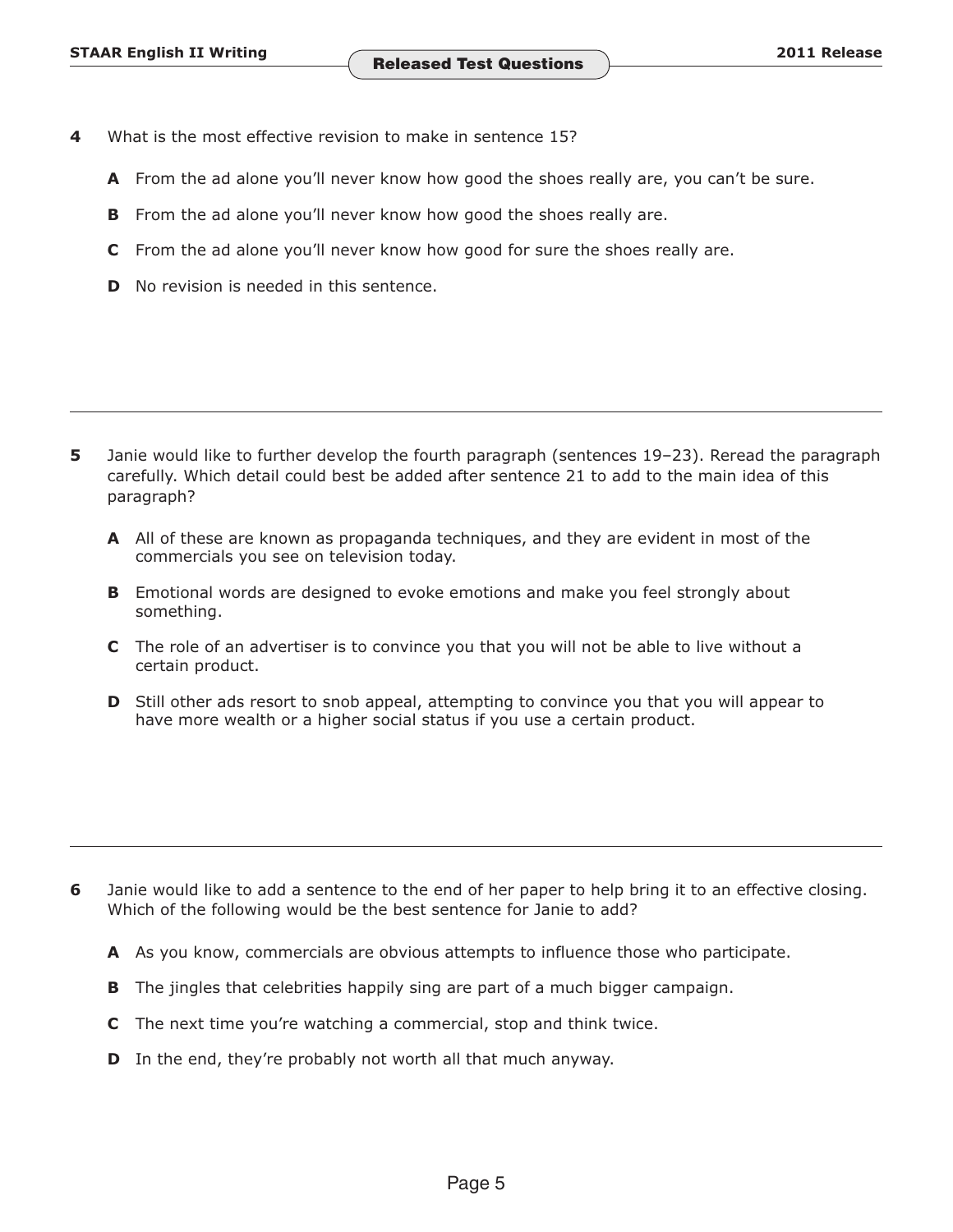- **4**  What is the most effective revision to make in sentence 15?
	- **A** From the ad alone you'll never know how good the shoes really are, you can't be sure.
	- **B** From the ad alone you'll never know how good the shoes really are.
	- **C** From the ad alone you'll never know how good for sure the shoes really are.
	- **D** No revision is needed in this sentence.

- **5** Janie would like to further develop the fourth paragraph (sentences 19–23). Reread the paragraph carefully. Which detail could best be added after sentence 21 to add to the main idea of this paragraph?
	- **A** All of these are known as propaganda techniques, and they are evident in most of the commercials you see on television today.
	- **B** Emotional words are designed to evoke emotions and make you feel strongly about something.
	- **C** The role of an advertiser is to convince you that you will not be able to live without a certain product.
	- **D** Still other ads resort to snob appeal, attempting to convince you that you will appear to have more wealth or a higher social status if you use a certain product.

- **6** Janie would like to add a sentence to the end of her paper to help bring it to an effective closing. Which of the following would be the best sentence for Janie to add?
	- **A** As you know, commercials are obvious attempts to influence those who participate.
	- **B** The jingles that celebrities happily sing are part of a much bigger campaign.
	- **C** The next time you're watching a commercial, stop and think twice.
	- **D** In the end, they're probably not worth all that much anyway.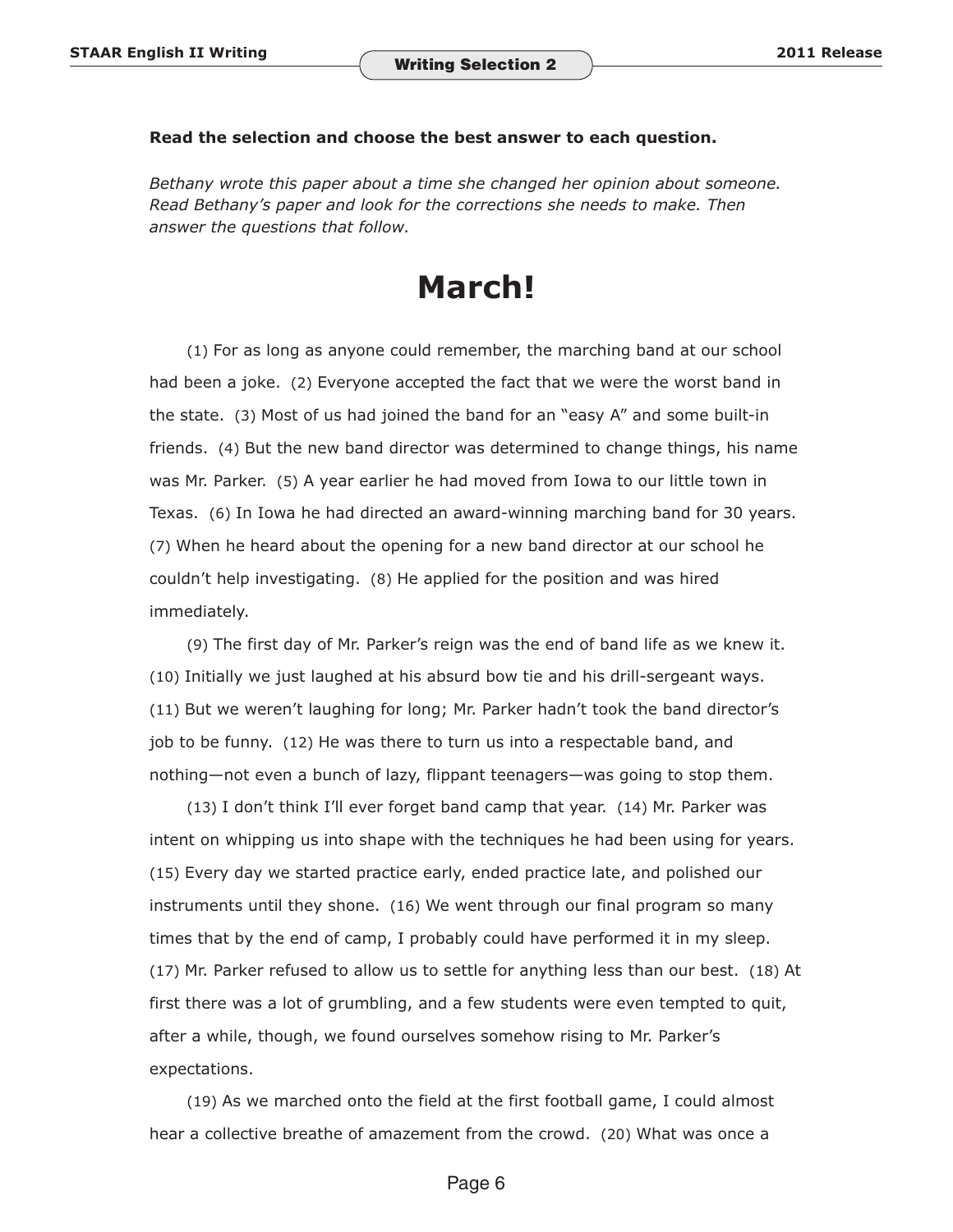## **Read the selection and choose the best answer to each question.**

*Bethany wrote this paper about a time she changed her opinion about someone. Read Bethany's paper and look for the corrections she needs to make. Then answer the questions that follow.* 

## **March!**

(1) For as long as anyone could remember, the marching band at our school had been a joke. (2) Everyone accepted the fact that we were the worst band in the state. (3) Most of us had joined the band for an "easy A" and some built-in friends. (4) But the new band director was determined to change things, his name was Mr. Parker. (5) A year earlier he had moved from Iowa to our little town in Texas. (6) In Iowa he had directed an award-winning marching band for 30 years. (7) When he heard about the opening for a new band director at our school he couldn't help investigating. (8) He applied for the position and was hired immediately.

(9) The first day of Mr. Parker's reign was the end of band life as we knew it. (10) Initially we just laughed at his absurd bow tie and his drill-sergeant ways. (11) But we weren't laughing for long; Mr. Parker hadn't took the band director's job to be funny. (12) He was there to turn us into a respectable band, and nothing—not even a bunch of lazy, flippant teenagers—was going to stop them.

(13) I don't think I'll ever forget band camp that year. (14) Mr. Parker was intent on whipping us into shape with the techniques he had been using for years. (15) Every day we started practice early, ended practice late, and polished our instruments until they shone. (16) We went through our final program so many times that by the end of camp, I probably could have performed it in my sleep. (17) Mr. Parker refused to allow us to settle for anything less than our best. (18) At first there was a lot of grumbling, and a few students were even tempted to quit, after a while, though, we found ourselves somehow rising to Mr. Parker's expectations.

(19) As we marched onto the field at the first football game, I could almost hear a collective breathe of amazement from the crowd. (20) What was once a

#### Page 6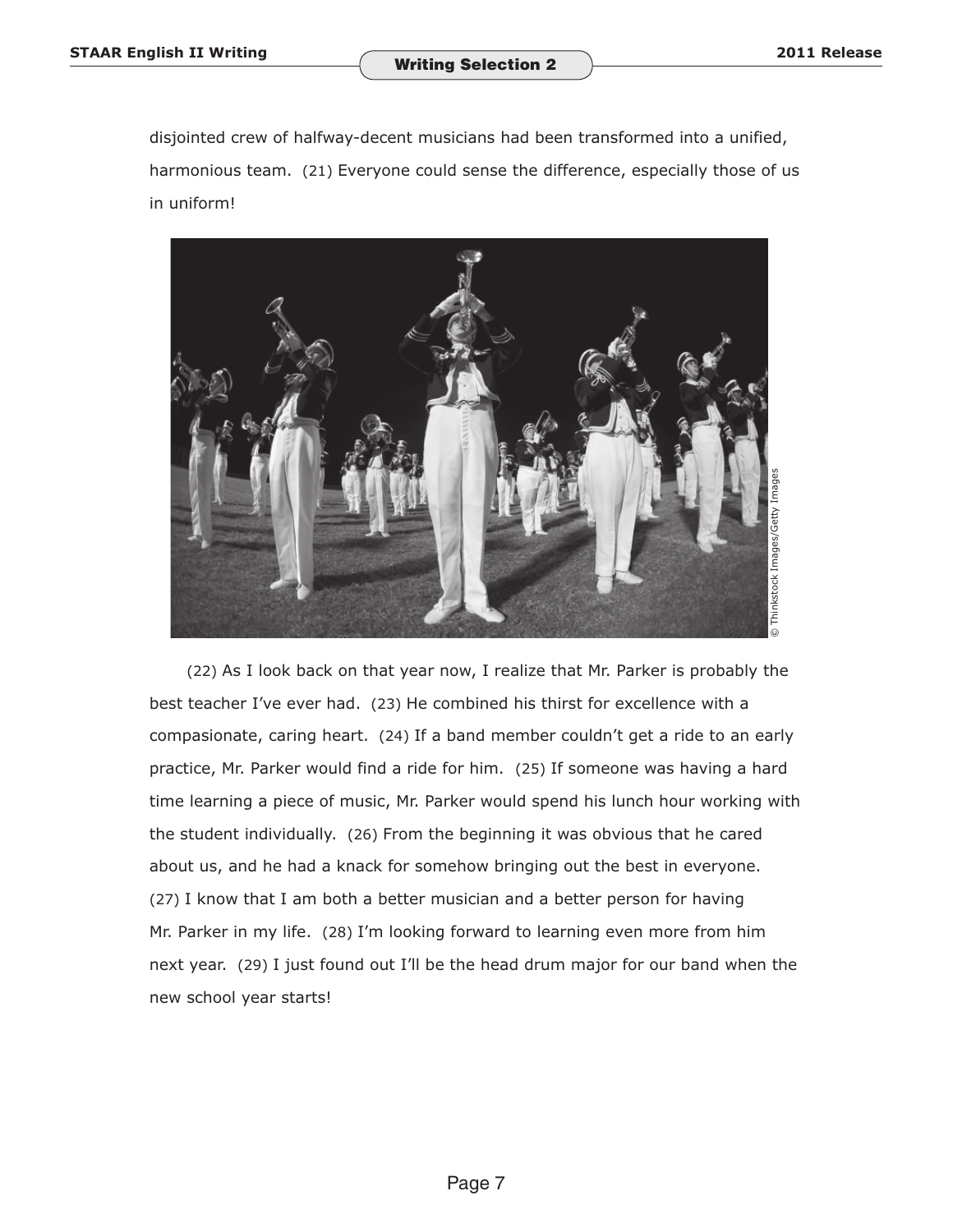disjointed crew of halfway-decent musicians had been transformed into a unified, harmonious team. (21) Everyone could sense the difference, especially those of us in uniform!



(22) As I look back on that year now, I realize that Mr. Parker is probably the best teacher I've ever had. (23) He combined his thirst for excellence with a compasionate, caring heart. (24) If a band member couldn't get a ride to an early practice, Mr. Parker would find a ride for him. (25) If someone was having a hard time learning a piece of music, Mr. Parker would spend his lunch hour working with the student individually. (26) From the beginning it was obvious that he cared about us, and he had a knack for somehow bringing out the best in everyone. (27) I know that I am both a better musician and a better person for having Mr. Parker in my life. (28) I'm looking forward to learning even more from him next year. (29) I just found out I'll be the head drum major for our band when the new school year starts!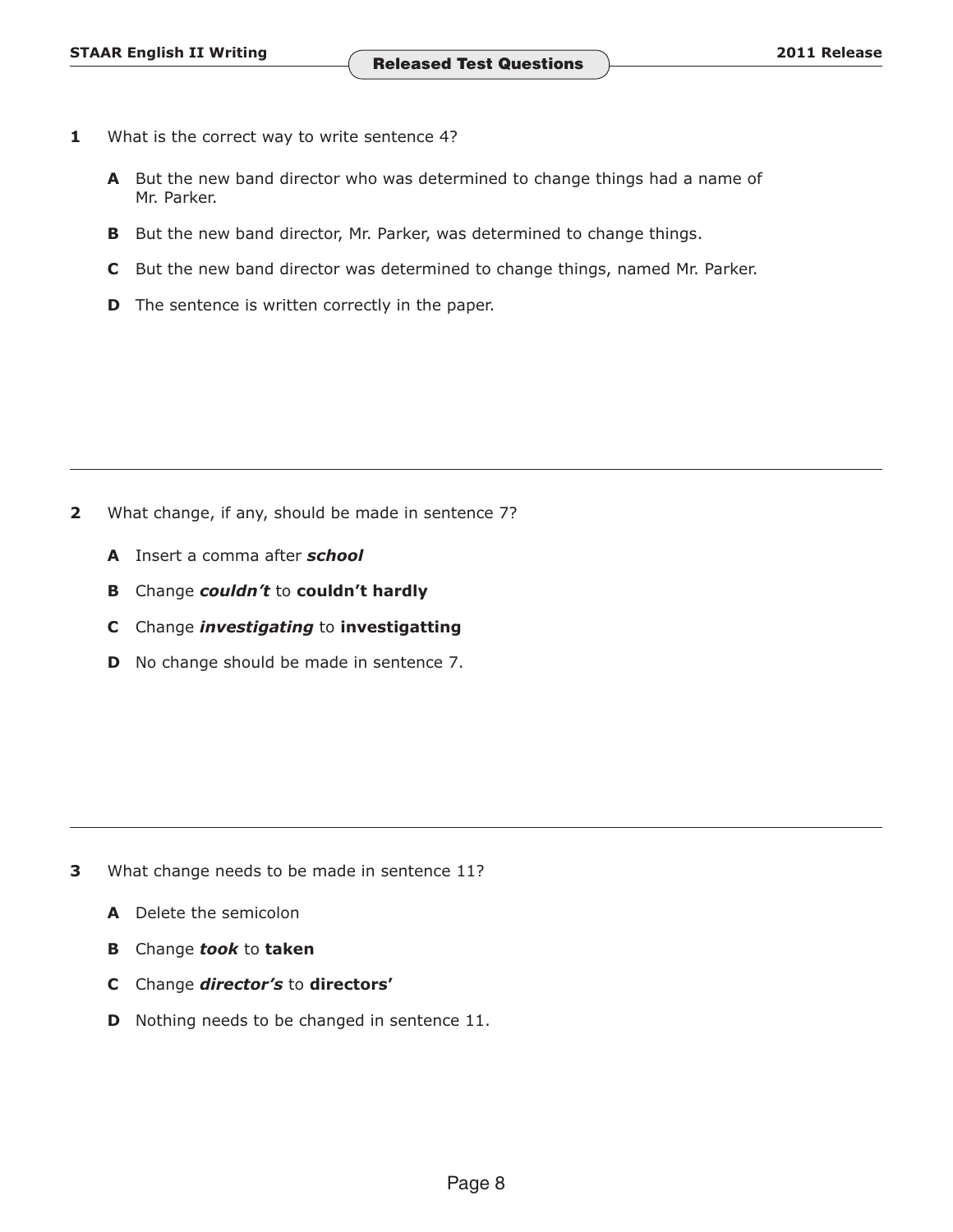- **1** What is the correct way to write sentence 4?
	- **A** But the new band director who was determined to change things had a name of Mr. Parker.
	- **B** But the new band director, Mr. Parker, was determined to change things.
	- **C** But the new band director was determined to change things, named Mr. Parker.
	- **D** The sentence is written correctly in the paper.

- **2** What change, if any, should be made in sentence 7?
	- **A** Insert a comma after *school*
	- **B** Change *couldn't* to **couldn't hardly**
	- **C** Change *investigating* to **investigatting**
	- **D** No change should be made in sentence 7.

- **3** What change needs to be made in sentence 11?
	- **A** Delete the semicolon
	- **B** Change *took* to **taken**
	- **C** Change *director's* to **directors'**
	- **D** Nothing needs to be changed in sentence 11.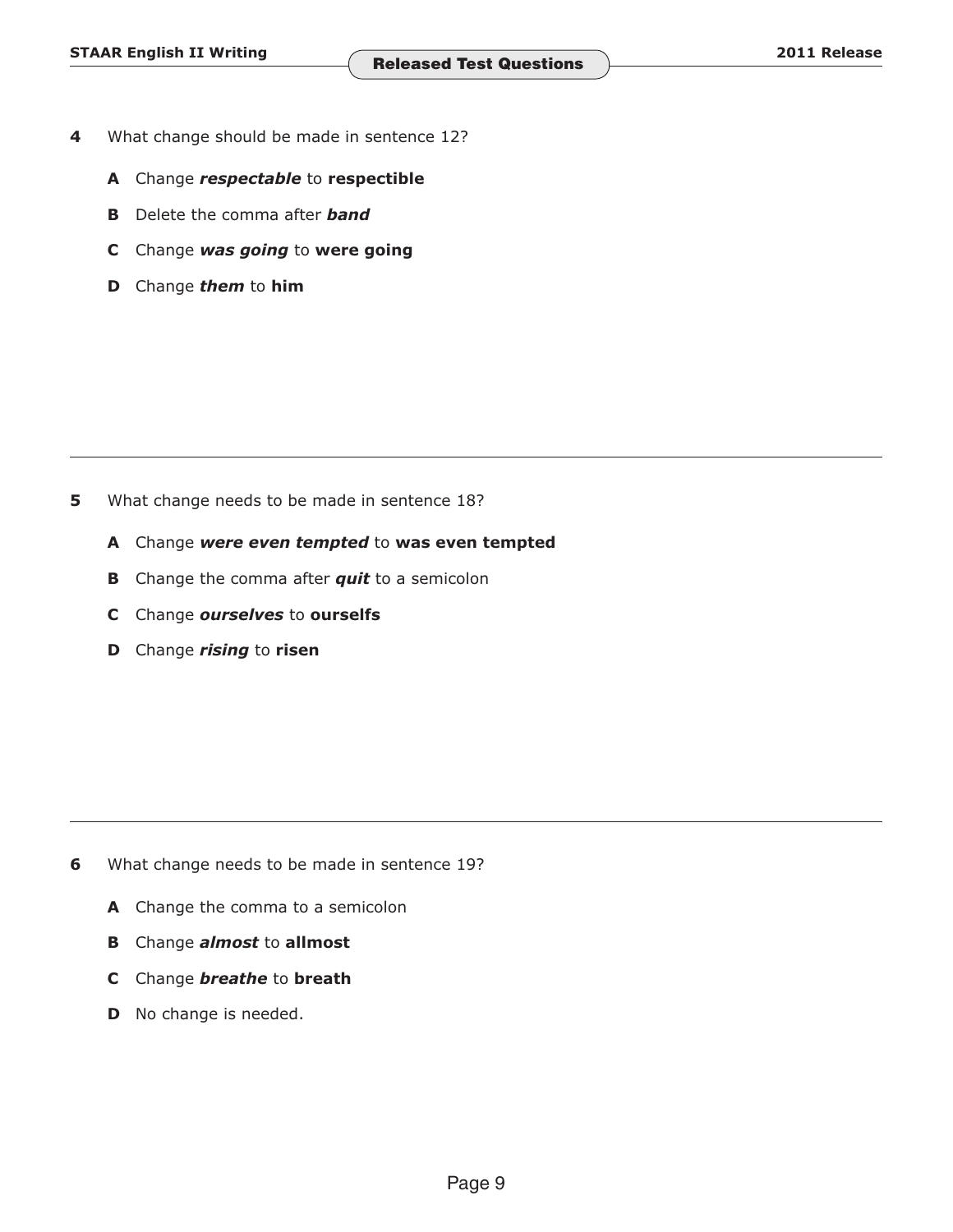- **4**  What change should be made in sentence 12?
	- **A** Change *respectable* to **respectible**
	- **B** Delete the comma after *band*
	- **C** Change *was going* to **were going**
	- **D** Change *them* to **him**

- **5** What change needs to be made in sentence 18?
	- **A** Change *were even tempted* to **was even tempted**
	- **B** Change the comma after *quit* to a semicolon
	- **C** Change *ourselves* to **ourselfs**
	- **D** Change *rising* to **risen**

- **6** What change needs to be made in sentence 19?
	- A Change the comma to a semicolon
	- **B** Change *almost* to **allmost**
	- **C** Change *breathe* to **breath**
	- **D** No change is needed.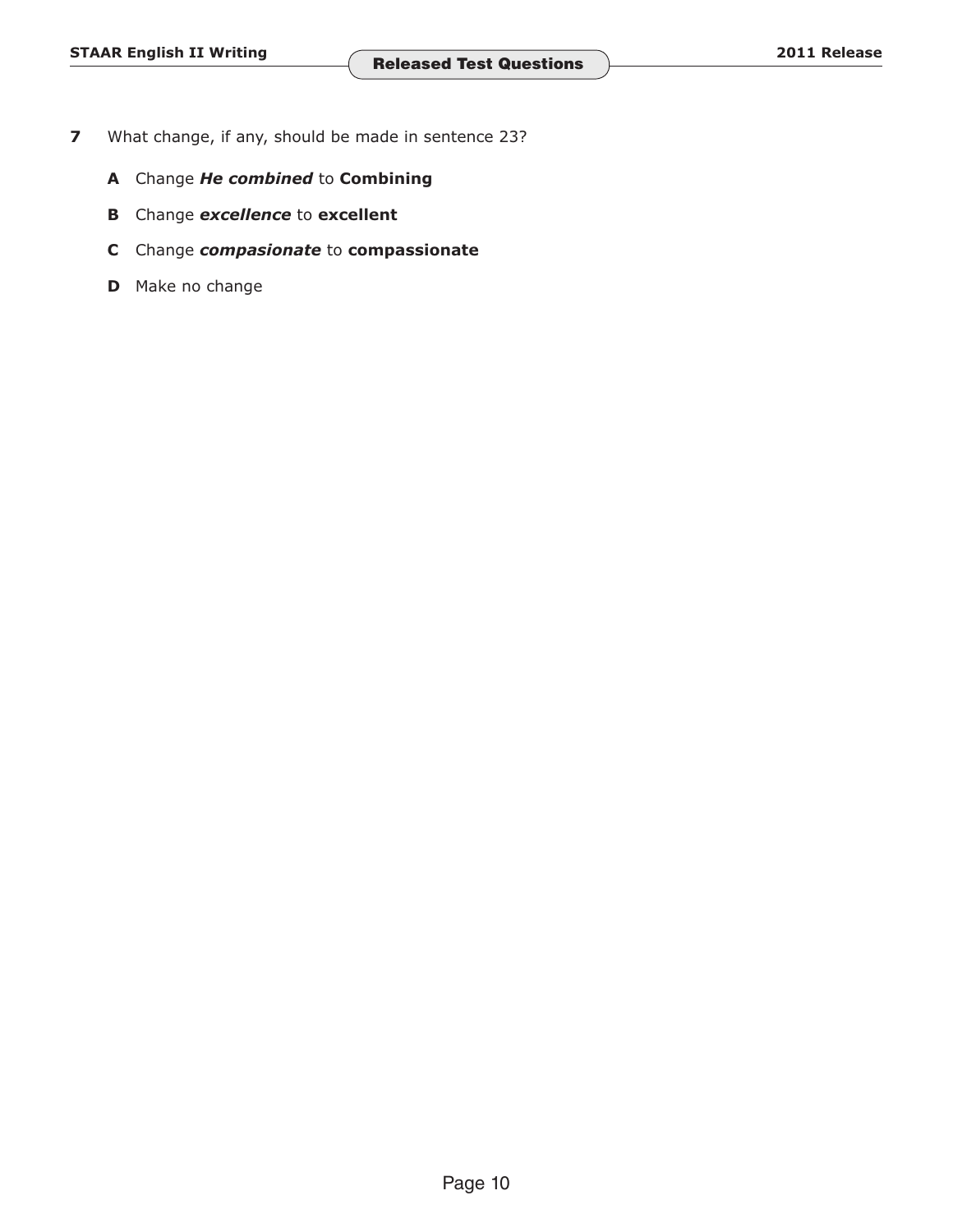- **7** What change, if any, should be made in sentence 23?
	- **A** Change *He combined* to **Combining**
	- **B** Change *excellence* to **excellent**
	- **C** Change *compasionate* to **compassionate**
	- **D** Make no change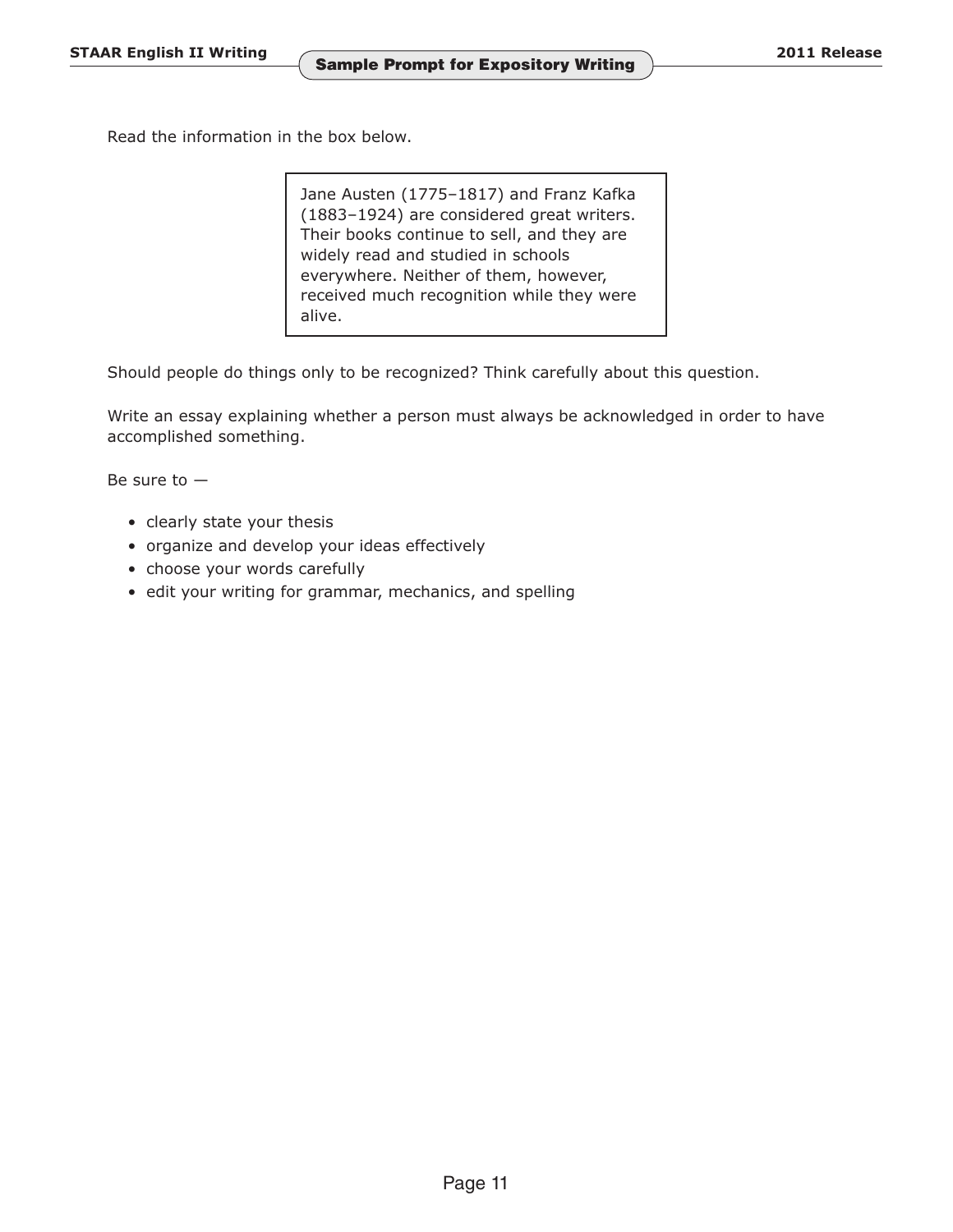Read the information in the box below.

Jane Austen (1775–1817) and Franz Kafka (1883–1924) are considered great writers. Their books continue to sell, and they are widely read and studied in schools everywhere. Neither of them, however, received much recognition while they were alive.

Should people do things only to be recognized? Think carefully about this question.

Write an essay explaining whether a person must always be acknowledged in order to have accomplished something.

Be sure to  $-$ 

- clearly state your thesis
- organize and develop your ideas effectively
- choose your words carefully
- edit your writing for grammar, mechanics, and spelling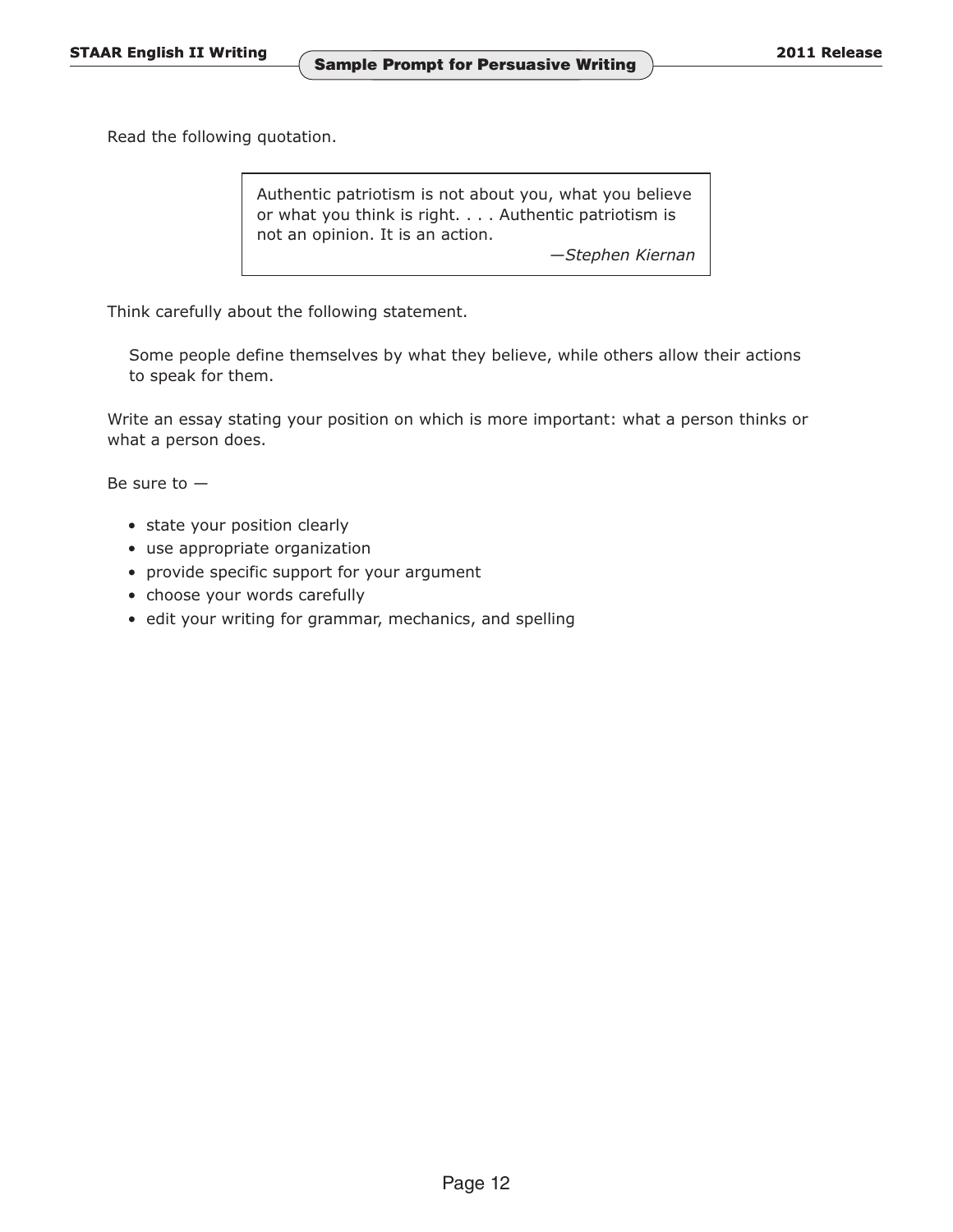Read the following quotation.

Authentic patriotism is not about you, what you believe or what you think is right. . . . Authentic patriotism is not an opinion. It is an action.

—*Stephen Kiernan* 

Think carefully about the following statement.

Some people define themselves by what they believe, while others allow their actions to speak for them.

Write an essay stating your position on which is more important: what a person thinks or what a person does.

Be sure to  $-$ 

- state your position clearly
- use appropriate organization
- provide specific support for your argument
- choose your words carefully
- edit your writing for grammar, mechanics, and spelling